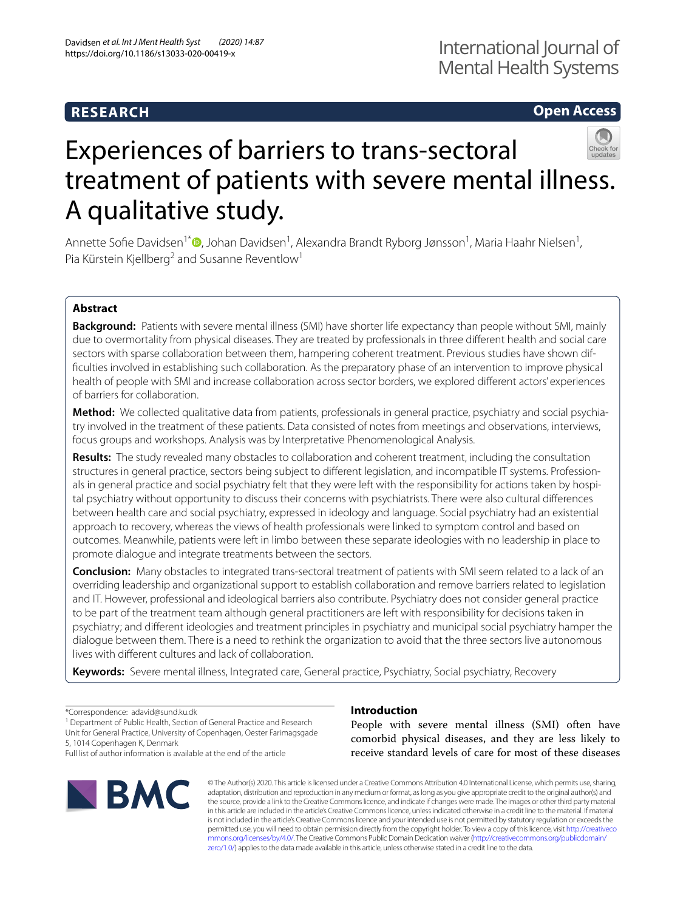# **RESEARCH**

# **Open Access**



# Experiences of barriers to trans-sectoral treatment of patients with severe mental illness. A qualitative study.

Annette Sofie Davidsen<sup>1\*</sup> D[,](http://orcid.org/0000-0002-5434-0997) Johan Davidsen<sup>1</sup>, Alexandra Brandt Ryborg Jønsson<sup>1</sup>, Maria Haahr Nielsen<sup>1</sup>, Pia Kürstein Kjellberg<sup>2</sup> and Susanne Reventlow<sup>1</sup>

## **Abstract**

**Background:** Patients with severe mental illness (SMI) have shorter life expectancy than people without SMI, mainly due to overmortality from physical diseases. They are treated by professionals in three diferent health and social care sectors with sparse collaboration between them, hampering coherent treatment. Previous studies have shown diffculties involved in establishing such collaboration. As the preparatory phase of an intervention to improve physical health of people with SMI and increase collaboration across sector borders, we explored diferent actors' experiences of barriers for collaboration.

**Method:** We collected qualitative data from patients, professionals in general practice, psychiatry and social psychiatry involved in the treatment of these patients. Data consisted of notes from meetings and observations, interviews, focus groups and workshops. Analysis was by Interpretative Phenomenological Analysis.

**Results:** The study revealed many obstacles to collaboration and coherent treatment, including the consultation structures in general practice, sectors being subject to diferent legislation, and incompatible IT systems. Professionals in general practice and social psychiatry felt that they were left with the responsibility for actions taken by hospital psychiatry without opportunity to discuss their concerns with psychiatrists. There were also cultural diferences between health care and social psychiatry, expressed in ideology and language. Social psychiatry had an existential approach to recovery, whereas the views of health professionals were linked to symptom control and based on outcomes. Meanwhile, patients were left in limbo between these separate ideologies with no leadership in place to promote dialogue and integrate treatments between the sectors.

**Conclusion:** Many obstacles to integrated trans-sectoral treatment of patients with SMI seem related to a lack of an overriding leadership and organizational support to establish collaboration and remove barriers related to legislation and IT. However, professional and ideological barriers also contribute. Psychiatry does not consider general practice to be part of the treatment team although general practitioners are left with responsibility for decisions taken in psychiatry; and diferent ideologies and treatment principles in psychiatry and municipal social psychiatry hamper the dialogue between them. There is a need to rethink the organization to avoid that the three sectors live autonomous lives with diferent cultures and lack of collaboration.

**Keywords:** Severe mental illness, Integrated care, General practice, Psychiatry, Social psychiatry, Recovery

\*Correspondence: adavid@sund.ku.dk

<sup>1</sup> Department of Public Health, Section of General Practice and Research Unit for General Practice, University of Copenhagen, Oester Farimagsgade 5, 1014 Copenhagen K, Denmark

Full list of author information is available at the end of the article



## **Introduction**

People with severe mental illness (SMI) often have comorbid physical diseases, and they are less likely to receive standard levels of care for most of these diseases

© The Author(s) 2020. This article is licensed under a Creative Commons Attribution 4.0 International License, which permits use, sharing, adaptation, distribution and reproduction in any medium or format, as long as you give appropriate credit to the original author(s) and the source, provide a link to the Creative Commons licence, and indicate if changes were made. The images or other third party material in this article are included in the article's Creative Commons licence, unless indicated otherwise in a credit line to the material. If material is not included in the article's Creative Commons licence and your intended use is not permitted by statutory regulation or exceeds the permitted use, you will need to obtain permission directly from the copyright holder. To view a copy of this licence, visit [http://creativeco](http://creativecommons.org/licenses/by/4.0/) [mmons.org/licenses/by/4.0/.](http://creativecommons.org/licenses/by/4.0/) The Creative Commons Public Domain Dedication waiver ([http://creativecommons.org/publicdomain/](http://creativecommons.org/publicdomain/zero/1.0/) [zero/1.0/\)](http://creativecommons.org/publicdomain/zero/1.0/) applies to the data made available in this article, unless otherwise stated in a credit line to the data.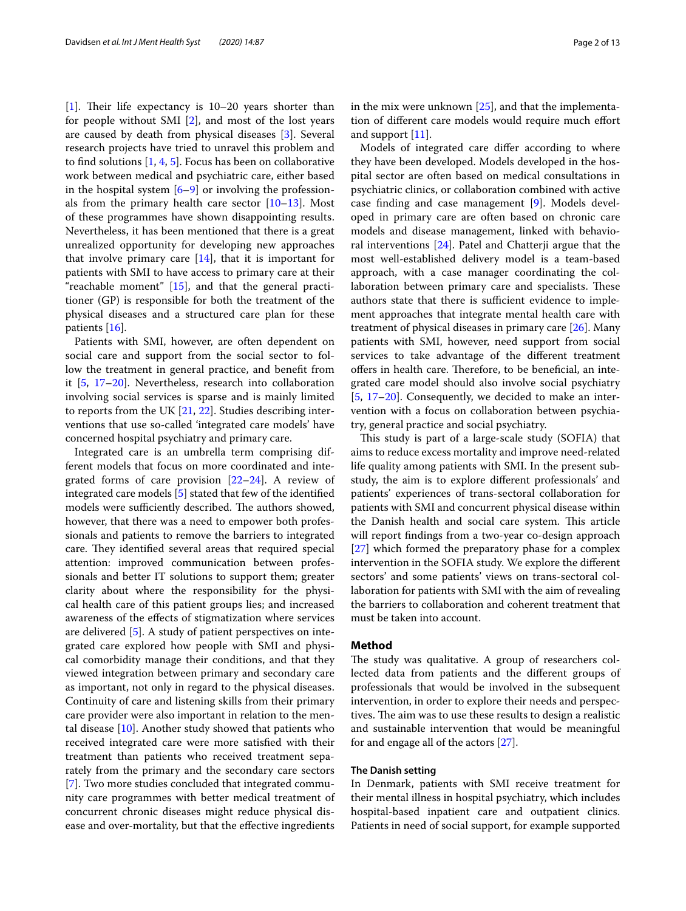$[1]$  $[1]$ . Their life expectancy is 10–20 years shorter than for people without SMI [\[2](#page-11-1)], and most of the lost years are caused by death from physical diseases [[3\]](#page-11-2). Several research projects have tried to unravel this problem and to find solutions  $[1, 4, 5]$  $[1, 4, 5]$  $[1, 4, 5]$  $[1, 4, 5]$  $[1, 4, 5]$ . Focus has been on collaborative work between medical and psychiatric care, either based in the hospital system  $[6-9]$  $[6-9]$  or involving the professionals from the primary health care sector  $[10-13]$  $[10-13]$ . Most of these programmes have shown disappointing results. Nevertheless, it has been mentioned that there is a great unrealized opportunity for developing new approaches that involve primary care  $[14]$  $[14]$ , that it is important for patients with SMI to have access to primary care at their "reachable moment" [\[15](#page-11-10)], and that the general practitioner (GP) is responsible for both the treatment of the physical diseases and a structured care plan for these patients [[16\]](#page-11-11).

Patients with SMI, however, are often dependent on social care and support from the social sector to follow the treatment in general practice, and beneft from it [\[5](#page-11-4), [17–](#page-11-12)[20](#page-11-13)]. Nevertheless, research into collaboration involving social services is sparse and is mainly limited to reports from the UK [[21,](#page-11-14) [22](#page-11-15)]. Studies describing interventions that use so-called 'integrated care models' have concerned hospital psychiatry and primary care.

Integrated care is an umbrella term comprising different models that focus on more coordinated and integrated forms of care provision  $[22-24]$  $[22-24]$  $[22-24]$ . A review of integrated care models [[5\]](#page-11-4) stated that few of the identifed models were sufficiently described. The authors showed, however, that there was a need to empower both professionals and patients to remove the barriers to integrated care. They identified several areas that required special attention: improved communication between professionals and better IT solutions to support them; greater clarity about where the responsibility for the physical health care of this patient groups lies; and increased awareness of the efects of stigmatization where services are delivered [\[5](#page-11-4)]. A study of patient perspectives on integrated care explored how people with SMI and physical comorbidity manage their conditions, and that they viewed integration between primary and secondary care as important, not only in regard to the physical diseases. Continuity of care and listening skills from their primary care provider were also important in relation to the mental disease [[10\]](#page-11-7). Another study showed that patients who received integrated care were more satisfed with their treatment than patients who received treatment separately from the primary and the secondary care sectors [[7\]](#page-11-17). Two more studies concluded that integrated community care programmes with better medical treatment of concurrent chronic diseases might reduce physical disease and over-mortality, but that the efective ingredients in the mix were unknown [\[25\]](#page-11-18), and that the implementation of diferent care models would require much efort and support [[11\]](#page-11-19).

Models of integrated care difer according to where they have been developed. Models developed in the hospital sector are often based on medical consultations in psychiatric clinics, or collaboration combined with active case fnding and case management [\[9](#page-11-6)]. Models developed in primary care are often based on chronic care models and disease management, linked with behavioral interventions [[24\]](#page-11-16). Patel and Chatterji argue that the most well-established delivery model is a team-based approach, with a case manager coordinating the collaboration between primary care and specialists. These authors state that there is sufficient evidence to implement approaches that integrate mental health care with treatment of physical diseases in primary care [\[26](#page-11-20)]. Many patients with SMI, however, need support from social services to take advantage of the diferent treatment offers in health care. Therefore, to be beneficial, an integrated care model should also involve social psychiatry [[5,](#page-11-4) [17](#page-11-12)[–20](#page-11-13)]. Consequently, we decided to make an intervention with a focus on collaboration between psychiatry, general practice and social psychiatry.

This study is part of a large-scale study (SOFIA) that aims to reduce excess mortality and improve need-related life quality among patients with SMI. In the present substudy, the aim is to explore diferent professionals' and patients' experiences of trans-sectoral collaboration for patients with SMI and concurrent physical disease within the Danish health and social care system. This article will report fndings from a two-year co-design approach [[27\]](#page-11-21) which formed the preparatory phase for a complex intervention in the SOFIA study. We explore the diferent sectors' and some patients' views on trans-sectoral collaboration for patients with SMI with the aim of revealing the barriers to collaboration and coherent treatment that must be taken into account.

#### **Method**

The study was qualitative. A group of researchers collected data from patients and the diferent groups of professionals that would be involved in the subsequent intervention, in order to explore their needs and perspectives. The aim was to use these results to design a realistic and sustainable intervention that would be meaningful for and engage all of the actors [[27\]](#page-11-21).

#### **The Danish setting**

In Denmark, patients with SMI receive treatment for their mental illness in hospital psychiatry, which includes hospital-based inpatient care and outpatient clinics. Patients in need of social support, for example supported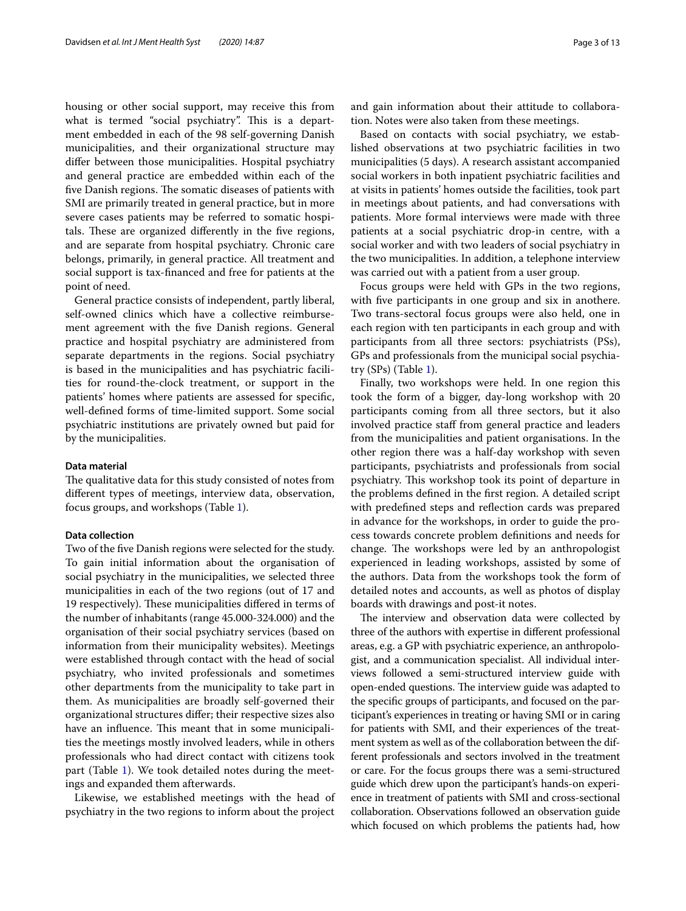housing or other social support, may receive this from what is termed "social psychiatry". This is a department embedded in each of the 98 self-governing Danish municipalities, and their organizational structure may difer between those municipalities. Hospital psychiatry and general practice are embedded within each of the five Danish regions. The somatic diseases of patients with SMI are primarily treated in general practice, but in more severe cases patients may be referred to somatic hospitals. These are organized differently in the five regions, and are separate from hospital psychiatry. Chronic care belongs, primarily, in general practice. All treatment and social support is tax-fnanced and free for patients at the point of need.

General practice consists of independent, partly liberal, self-owned clinics which have a collective reimbursement agreement with the fve Danish regions. General practice and hospital psychiatry are administered from separate departments in the regions. Social psychiatry is based in the municipalities and has psychiatric facilities for round-the-clock treatment, or support in the patients' homes where patients are assessed for specifc, well-defned forms of time-limited support. Some social psychiatric institutions are privately owned but paid for by the municipalities.

#### **Data material**

The qualitative data for this study consisted of notes from diferent types of meetings, interview data, observation, focus groups, and workshops (Table [1\)](#page-3-0).

#### **Data collection**

Two of the fve Danish regions were selected for the study. To gain initial information about the organisation of social psychiatry in the municipalities, we selected three municipalities in each of the two regions (out of 17 and 19 respectively). These municipalities differed in terms of the number of inhabitants (range 45.000-324.000) and the organisation of their social psychiatry services (based on information from their municipality websites). Meetings were established through contact with the head of social psychiatry, who invited professionals and sometimes other departments from the municipality to take part in them. As municipalities are broadly self-governed their organizational structures difer; their respective sizes also have an influence. This meant that in some municipalities the meetings mostly involved leaders, while in others professionals who had direct contact with citizens took part (Table [1\)](#page-3-0). We took detailed notes during the meetings and expanded them afterwards.

Likewise, we established meetings with the head of psychiatry in the two regions to inform about the project and gain information about their attitude to collaboration. Notes were also taken from these meetings.

Based on contacts with social psychiatry, we established observations at two psychiatric facilities in two municipalities (5 days). A research assistant accompanied social workers in both inpatient psychiatric facilities and at visits in patients' homes outside the facilities, took part in meetings about patients, and had conversations with patients. More formal interviews were made with three patients at a social psychiatric drop-in centre, with a social worker and with two leaders of social psychiatry in the two municipalities. In addition, a telephone interview was carried out with a patient from a user group.

Focus groups were held with GPs in the two regions, with five participants in one group and six in anothere. Two trans-sectoral focus groups were also held, one in each region with ten participants in each group and with participants from all three sectors: psychiatrists (PSs), GPs and professionals from the municipal social psychiatry (SPs) (Table [1\)](#page-3-0).

Finally, two workshops were held. In one region this took the form of a bigger, day-long workshop with 20 participants coming from all three sectors, but it also involved practice staff from general practice and leaders from the municipalities and patient organisations. In the other region there was a half-day workshop with seven participants, psychiatrists and professionals from social psychiatry. This workshop took its point of departure in the problems defned in the frst region. A detailed script with predefined steps and reflection cards was prepared in advance for the workshops, in order to guide the process towards concrete problem defnitions and needs for change. The workshops were led by an anthropologist experienced in leading workshops, assisted by some of the authors. Data from the workshops took the form of detailed notes and accounts, as well as photos of display boards with drawings and post-it notes.

The interview and observation data were collected by three of the authors with expertise in diferent professional areas, e.g. a GP with psychiatric experience, an anthropologist, and a communication specialist. All individual interviews followed a semi-structured interview guide with open-ended questions. The interview guide was adapted to the specifc groups of participants, and focused on the participant's experiences in treating or having SMI or in caring for patients with SMI, and their experiences of the treatment system as well as of the collaboration between the different professionals and sectors involved in the treatment or care. For the focus groups there was a semi-structured guide which drew upon the participant's hands-on experience in treatment of patients with SMI and cross-sectional collaboration. Observations followed an observation guide which focused on which problems the patients had, how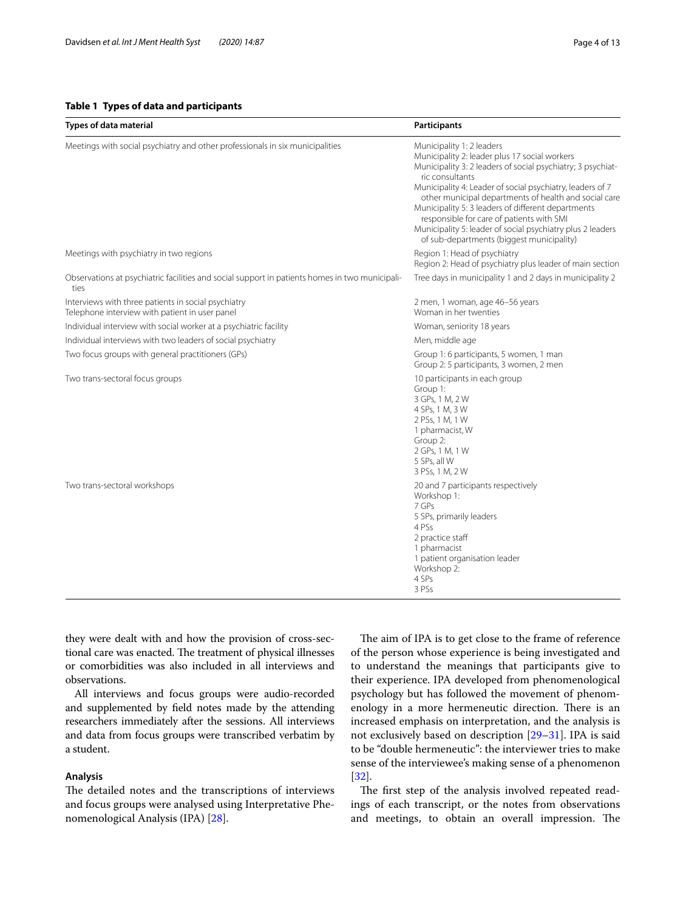#### <span id="page-3-0"></span>**Table 1 Types of data and participants**

Meetings with social psychiatry and other professionals in six municipalities

**Types of data material** 

| <b>Participants</b>                                                            |
|--------------------------------------------------------------------------------|
| Municipality 1: 2 leaders<br>Municipality 2: leader plus 17 social workers     |
| Municipality 3: 2 leaders of social psychiatry; 3 psychiat-<br>ric consultants |
| Municipality 4.1 cader of cocial pouchiatry loaders of 7                       |

|                                                                                                        | Municipality 4: Leader of social psychiatry, leaders of 7<br>other municipal departments of health and social care<br>Municipality 5: 3 leaders of different departments<br>responsible for care of patients with SMI<br>Municipality 5: leader of social psychiatry plus 2 leaders<br>of sub-departments (biggest municipality) |
|--------------------------------------------------------------------------------------------------------|----------------------------------------------------------------------------------------------------------------------------------------------------------------------------------------------------------------------------------------------------------------------------------------------------------------------------------|
| Meetings with psychiatry in two regions                                                                | Region 1: Head of psychiatry<br>Region 2: Head of psychiatry plus leader of main section                                                                                                                                                                                                                                         |
| Observations at psychiatric facilities and social support in patients homes in two municipali-<br>ties | Tree days in municipality 1 and 2 days in municipality 2                                                                                                                                                                                                                                                                         |
| Interviews with three patients in social psychiatry<br>Telephone interview with patient in user panel  | 2 men, 1 woman, age 46-56 years<br>Woman in her twenties                                                                                                                                                                                                                                                                         |
| Individual interview with social worker at a psychiatric facility                                      | Woman, seniority 18 years                                                                                                                                                                                                                                                                                                        |
| Individual interviews with two leaders of social psychiatry                                            | Men, middle age                                                                                                                                                                                                                                                                                                                  |
| Two focus groups with general practitioners (GPs)                                                      | Group 1:6 participants, 5 women, 1 man<br>Group 2: 5 participants, 3 women, 2 men                                                                                                                                                                                                                                                |
| Two trans-sectoral focus groups                                                                        | 10 participants in each group<br>Group 1:<br>3 GPs, 1 M, 2 W<br>4 SPs, 1 M, 3 W<br>2 PSs, 1 M, 1 W<br>1 pharmacist, W<br>Group 2:<br>2 GPs, 1 M, 1 W<br>5 SPs, all W<br>3 PSs, 1 M, 2 W                                                                                                                                          |
| Two trans-sectoral workshops                                                                           | 20 and 7 participants respectively<br>Workshop 1:<br>7 GPs<br>5 SPs, primarily leaders<br>4 P.Ss<br>2 practice staff<br>1 pharmacist<br>1 patient organisation leader<br>Workshop 2:<br>4 SPs<br>3 PSs                                                                                                                           |

they were dealt with and how the provision of cross-sectional care was enacted. The treatment of physical illnesses or comorbidities was also included in all interviews and observations.

All interviews and focus groups were audio-recorded and supplemented by feld notes made by the attending researchers immediately after the sessions. All interviews and data from focus groups were transcribed verbatim by a student.

#### **Analysis**

The detailed notes and the transcriptions of interviews and focus groups were analysed using Interpretative Phenomenological Analysis (IPA) [\[28](#page-12-0)].

The aim of IPA is to get close to the frame of reference of the person whose experience is being investigated and to understand the meanings that participants give to their experience. IPA developed from phenomenological psychology but has followed the movement of phenomenology in a more hermeneutic direction. There is an increased emphasis on interpretation, and the analysis is not exclusively based on description [[29–](#page-12-1)[31](#page-12-2)]. IPA is said to be "double hermeneutic": the interviewer tries to make sense of the interviewee's making sense of a phenomenon [[32\]](#page-12-3).

The first step of the analysis involved repeated readings of each transcript, or the notes from observations and meetings, to obtain an overall impression. The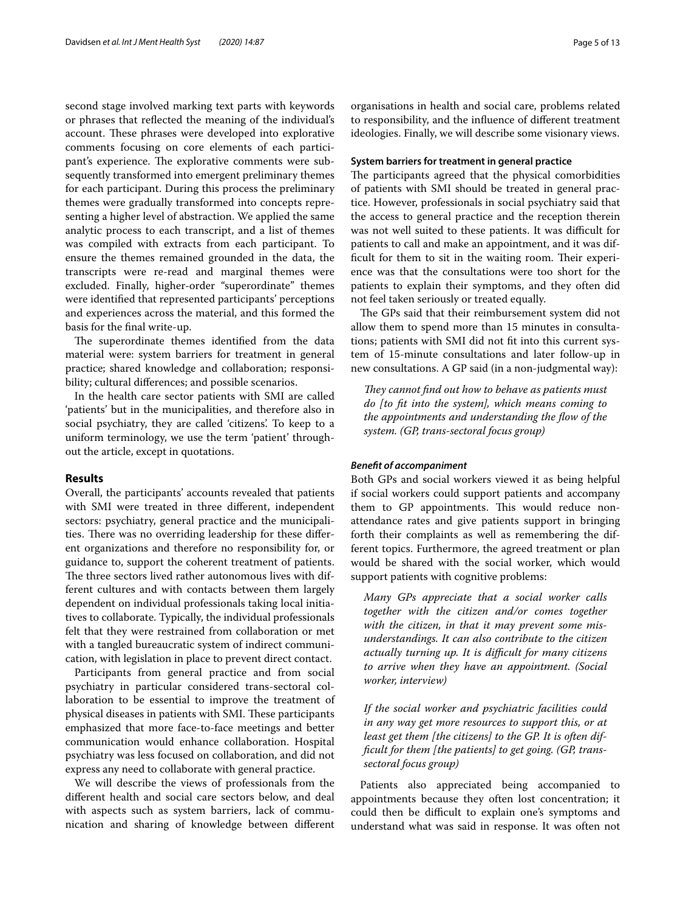second stage involved marking text parts with keywords or phrases that refected the meaning of the individual's account. These phrases were developed into explorative comments focusing on core elements of each participant's experience. The explorative comments were subsequently transformed into emergent preliminary themes for each participant. During this process the preliminary themes were gradually transformed into concepts representing a higher level of abstraction. We applied the same analytic process to each transcript, and a list of themes was compiled with extracts from each participant. To ensure the themes remained grounded in the data, the transcripts were re-read and marginal themes were excluded. Finally, higher-order "superordinate" themes were identifed that represented participants' perceptions and experiences across the material, and this formed the basis for the fnal write-up.

The superordinate themes identified from the data material were: system barriers for treatment in general practice; shared knowledge and collaboration; responsibility; cultural diferences; and possible scenarios.

In the health care sector patients with SMI are called 'patients' but in the municipalities, and therefore also in social psychiatry, they are called 'citizens'. To keep to a uniform terminology, we use the term 'patient' throughout the article, except in quotations.

#### **Results**

Overall, the participants' accounts revealed that patients with SMI were treated in three diferent, independent sectors: psychiatry, general practice and the municipalities. There was no overriding leadership for these different organizations and therefore no responsibility for, or guidance to, support the coherent treatment of patients. The three sectors lived rather autonomous lives with different cultures and with contacts between them largely dependent on individual professionals taking local initiatives to collaborate. Typically, the individual professionals felt that they were restrained from collaboration or met with a tangled bureaucratic system of indirect communication, with legislation in place to prevent direct contact.

Participants from general practice and from social psychiatry in particular considered trans-sectoral collaboration to be essential to improve the treatment of physical diseases in patients with SMI. These participants emphasized that more face-to-face meetings and better communication would enhance collaboration. Hospital psychiatry was less focused on collaboration, and did not express any need to collaborate with general practice.

We will describe the views of professionals from the diferent health and social care sectors below, and deal with aspects such as system barriers, lack of communication and sharing of knowledge between diferent

organisations in health and social care, problems related to responsibility, and the infuence of diferent treatment ideologies. Finally, we will describe some visionary views.

#### **System barriers for treatment in general practice**

The participants agreed that the physical comorbidities of patients with SMI should be treated in general practice. However, professionals in social psychiatry said that the access to general practice and the reception therein was not well suited to these patients. It was difficult for patients to call and make an appointment, and it was difficult for them to sit in the waiting room. Their experience was that the consultations were too short for the patients to explain their symptoms, and they often did not feel taken seriously or treated equally.

The GPs said that their reimbursement system did not allow them to spend more than 15 minutes in consultations; patients with SMI did not ft into this current system of 15-minute consultations and later follow-up in new consultations. A GP said (in a non-judgmental way):

*They cannot find out how to behave as patients must do [to ft into the system], which means coming to the appointments and understanding the fow of the system. (GP, trans-sectoral focus group)*

#### *Beneft of accompaniment*

Both GPs and social workers viewed it as being helpful if social workers could support patients and accompany them to GP appointments. This would reduce nonattendance rates and give patients support in bringing forth their complaints as well as remembering the different topics. Furthermore, the agreed treatment or plan would be shared with the social worker, which would support patients with cognitive problems:

*Many GPs appreciate that a social worker calls together with the citizen and/or comes together with the citizen, in that it may prevent some misunderstandings. It can also contribute to the citizen actually turning up. It is difcult for many citizens to arrive when they have an appointment. (Social worker, interview)*

*If the social worker and psychiatric facilities could in any way get more resources to support this, or at least get them [the citizens] to the GP. It is often diffcult for them [the patients] to get going. (GP, transsectoral focus group)*

Patients also appreciated being accompanied to appointments because they often lost concentration; it could then be difficult to explain one's symptoms and understand what was said in response. It was often not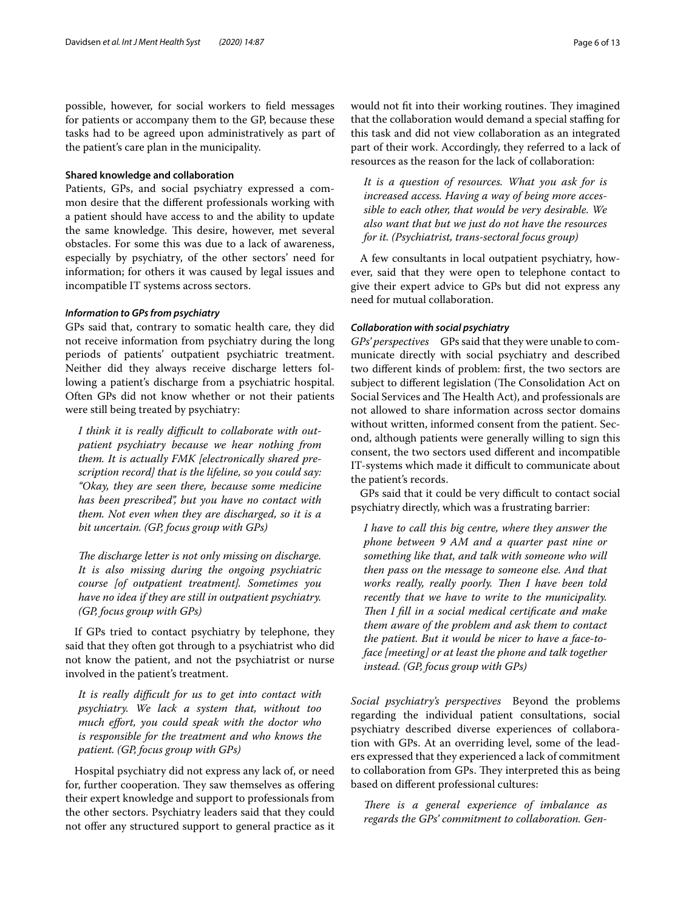possible, however, for social workers to feld messages for patients or accompany them to the GP, because these tasks had to be agreed upon administratively as part of the patient's care plan in the municipality.

#### **Shared knowledge and collaboration**

Patients, GPs, and social psychiatry expressed a common desire that the diferent professionals working with a patient should have access to and the ability to update the same knowledge. This desire, however, met several obstacles. For some this was due to a lack of awareness, especially by psychiatry, of the other sectors' need for information; for others it was caused by legal issues and incompatible IT systems across sectors.

#### *Information to GPs from psychiatry*

GPs said that, contrary to somatic health care, they did not receive information from psychiatry during the long periods of patients' outpatient psychiatric treatment. Neither did they always receive discharge letters following a patient's discharge from a psychiatric hospital. Often GPs did not know whether or not their patients were still being treated by psychiatry:

*I think it is really difcult to collaborate with outpatient psychiatry because we hear nothing from them. It is actually FMK [electronically shared prescription record] that is the lifeline, so you could say: "Okay, they are seen there, because some medicine has been prescribed", but you have no contact with them. Not even when they are discharged, so it is a bit uncertain. (GP, focus group with GPs)*

*The discharge letter is not only missing on discharge. It is also missing during the ongoing psychiatric course [of outpatient treatment]. Sometimes you have no idea if they are still in outpatient psychiatry. (GP, focus group with GPs)*

If GPs tried to contact psychiatry by telephone, they said that they often got through to a psychiatrist who did not know the patient, and not the psychiatrist or nurse involved in the patient's treatment.

*It is really difcult for us to get into contact with psychiatry. We lack a system that, without too much efort, you could speak with the doctor who is responsible for the treatment and who knows the patient. (GP, focus group with GPs)*

Hospital psychiatry did not express any lack of, or need for, further cooperation. They saw themselves as offering their expert knowledge and support to professionals from the other sectors. Psychiatry leaders said that they could not ofer any structured support to general practice as it would not fit into their working routines. They imagined that the collaboration would demand a special staffing for this task and did not view collaboration as an integrated part of their work. Accordingly, they referred to a lack of resources as the reason for the lack of collaboration:

*It is a question of resources. What you ask for is increased access. Having a way of being more accessible to each other, that would be very desirable. We also want that but we just do not have the resources for it. (Psychiatrist, trans-sectoral focus group)*

A few consultants in local outpatient psychiatry, however, said that they were open to telephone contact to give their expert advice to GPs but did not express any need for mutual collaboration.

#### *Collaboration with social psychiatry*

*GPs' perspectives* GPs said that they were unable to communicate directly with social psychiatry and described two diferent kinds of problem: frst, the two sectors are subject to different legislation (The Consolidation Act on Social Services and The Health Act), and professionals are not allowed to share information across sector domains without written, informed consent from the patient. Second, although patients were generally willing to sign this consent, the two sectors used diferent and incompatible IT-systems which made it difficult to communicate about the patient's records.

GPs said that it could be very difficult to contact social psychiatry directly, which was a frustrating barrier:

*I have to call this big centre, where they answer the phone between 9 AM and a quarter past nine or something like that, and talk with someone who will then pass on the message to someone else. And that works really, really poorly. Then I have been told recently that we have to write to the municipality.*  Then I fill in a social medical certificate and make *them aware of the problem and ask them to contact the patient. But it would be nicer to have a face-toface [meeting] or at least the phone and talk together instead. (GP, focus group with GPs)*

*Social psychiatry's perspectives* Beyond the problems regarding the individual patient consultations, social psychiatry described diverse experiences of collaboration with GPs. At an overriding level, some of the leaders expressed that they experienced a lack of commitment to collaboration from GPs. They interpreted this as being based on diferent professional cultures:

*There is a general experience of imbalance as regards the GPs' commitment to collaboration. Gen-*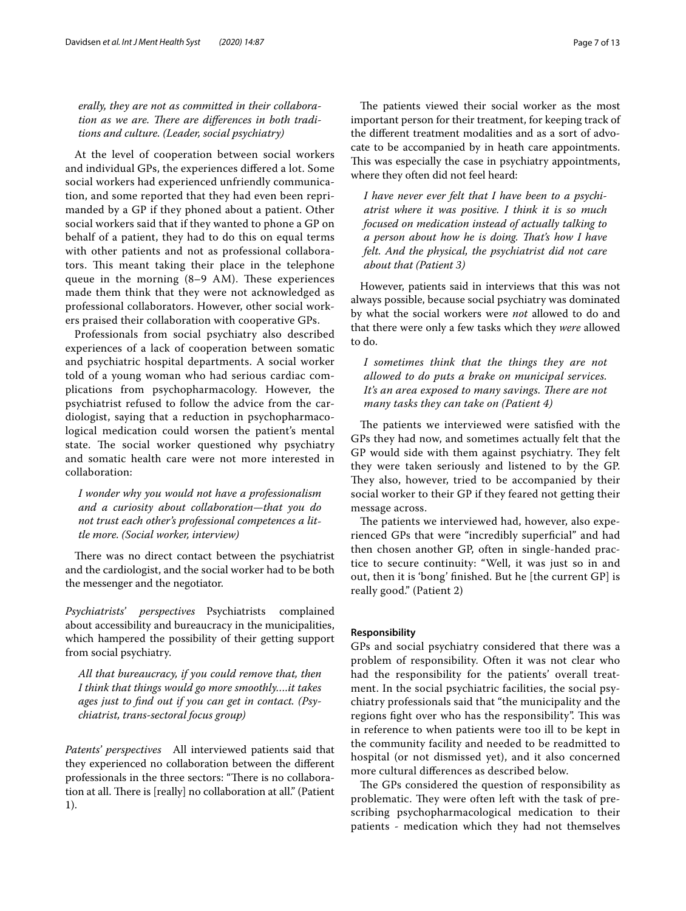*erally, they are not as committed in their collabora*tion as we are. There are differences in both tradi*tions and culture. (Leader, social psychiatry)*

At the level of cooperation between social workers and individual GPs, the experiences difered a lot. Some social workers had experienced unfriendly communication, and some reported that they had even been reprimanded by a GP if they phoned about a patient. Other social workers said that if they wanted to phone a GP on behalf of a patient, they had to do this on equal terms with other patients and not as professional collaborators. This meant taking their place in the telephone queue in the morning  $(8-9 \text{ AM})$ . These experiences made them think that they were not acknowledged as professional collaborators. However, other social workers praised their collaboration with cooperative GPs.

Professionals from social psychiatry also described experiences of a lack of cooperation between somatic and psychiatric hospital departments. A social worker told of a young woman who had serious cardiac complications from psychopharmacology. However, the psychiatrist refused to follow the advice from the cardiologist, saying that a reduction in psychopharmacological medication could worsen the patient's mental state. The social worker questioned why psychiatry and somatic health care were not more interested in collaboration:

*I wonder why you would not have a professionalism and a curiosity about collaboration—that you do not trust each other's professional competences a little more. (Social worker, interview)*

There was no direct contact between the psychiatrist and the cardiologist, and the social worker had to be both the messenger and the negotiator.

*Psychiatrists' perspectives* Psychiatrists complained about accessibility and bureaucracy in the municipalities, which hampered the possibility of their getting support from social psychiatry.

*All that bureaucracy, if you could remove that, then I think that things would go more smoothly….it takes ages just to fnd out if you can get in contact. (Psychiatrist, trans-sectoral focus group)*

*Patents' perspectives* All interviewed patients said that they experienced no collaboration between the diferent professionals in the three sectors: "There is no collaboration at all. There is [really] no collaboration at all." (Patient 1).

The patients viewed their social worker as the most important person for their treatment, for keeping track of the diferent treatment modalities and as a sort of advocate to be accompanied by in heath care appointments. This was especially the case in psychiatry appointments, where they often did not feel heard:

*I have never ever felt that I have been to a psychiatrist where it was positive. I think it is so much focused on medication instead of actually talking to a person about how he is doing. Tat's how I have felt. And the physical, the psychiatrist did not care about that (Patient 3)*

However, patients said in interviews that this was not always possible, because social psychiatry was dominated by what the social workers were *not* allowed to do and that there were only a few tasks which they *were* allowed to do.

*I sometimes think that the things they are not allowed to do puts a brake on municipal services.*  It's an area exposed to many savings. There are not *many tasks they can take on (Patient 4)*

The patients we interviewed were satisfied with the GPs they had now, and sometimes actually felt that the GP would side with them against psychiatry. They felt they were taken seriously and listened to by the GP. They also, however, tried to be accompanied by their social worker to their GP if they feared not getting their message across.

The patients we interviewed had, however, also experienced GPs that were "incredibly superfcial" and had then chosen another GP, often in single-handed practice to secure continuity: "Well, it was just so in and out, then it is 'bong' fnished. But he [the current GP] is really good." (Patient 2)

#### **Responsibility**

GPs and social psychiatry considered that there was a problem of responsibility. Often it was not clear who had the responsibility for the patients' overall treatment. In the social psychiatric facilities, the social psychiatry professionals said that "the municipality and the regions fight over who has the responsibility". This was in reference to when patients were too ill to be kept in the community facility and needed to be readmitted to hospital (or not dismissed yet), and it also concerned more cultural diferences as described below.

The GPs considered the question of responsibility as problematic. They were often left with the task of prescribing psychopharmacological medication to their patients - medication which they had not themselves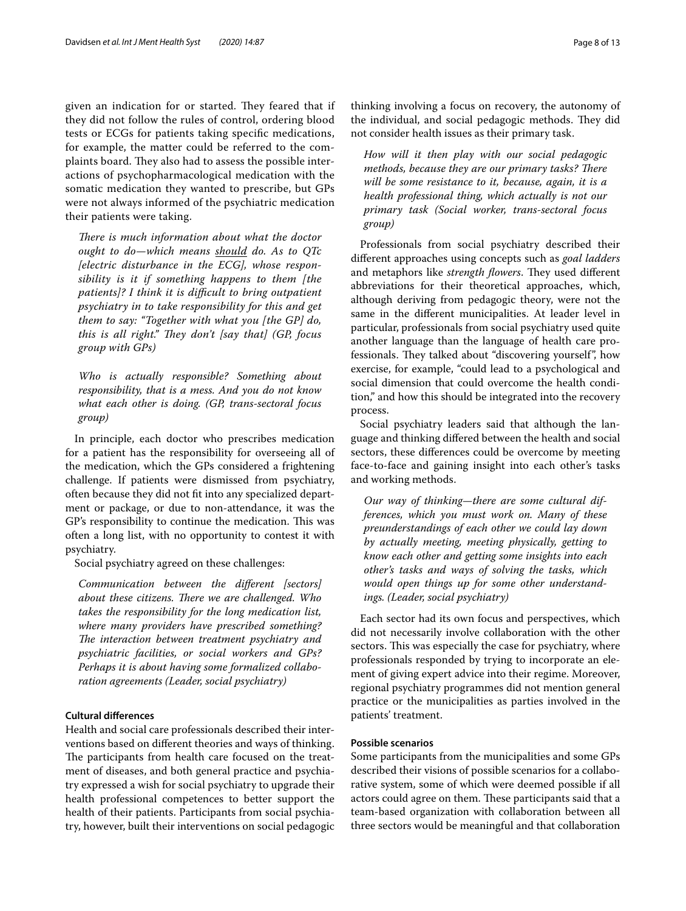given an indication for or started. They feared that if they did not follow the rules of control, ordering blood tests or ECGs for patients taking specifc medications, for example, the matter could be referred to the complaints board. They also had to assess the possible interactions of psychopharmacological medication with the somatic medication they wanted to prescribe, but GPs were not always informed of the psychiatric medication their patients were taking.

*There is much information about what the doctor ought to do—which means should do. As to QTc [electric disturbance in the ECG], whose responsibility is it if something happens to them [the patients]? I think it is difcult to bring outpatient psychiatry in to take responsibility for this and get them to say: "Together with what you [the GP] do, this is all right.*" They don't [say that] (GP, focus *group with GPs)*

*Who is actually responsible? Something about responsibility, that is a mess. And you do not know what each other is doing. (GP, trans-sectoral focus group)*

In principle, each doctor who prescribes medication for a patient has the responsibility for overseeing all of the medication, which the GPs considered a frightening challenge. If patients were dismissed from psychiatry, often because they did not ft into any specialized department or package, or due to non-attendance, it was the GP's responsibility to continue the medication. This was often a long list, with no opportunity to contest it with psychiatry.

Social psychiatry agreed on these challenges:

*Communication between the diferent [sectors] about these citizens. There we are challenged. Who takes the responsibility for the long medication list, where many providers have prescribed something?*  The interaction between treatment psychiatry and *psychiatric facilities, or social workers and GPs? Perhaps it is about having some formalized collaboration agreements (Leader, social psychiatry)*

#### **Cultural diferences**

Health and social care professionals described their interventions based on diferent theories and ways of thinking. The participants from health care focused on the treatment of diseases, and both general practice and psychiatry expressed a wish for social psychiatry to upgrade their health professional competences to better support the health of their patients. Participants from social psychiatry, however, built their interventions on social pedagogic

thinking involving a focus on recovery, the autonomy of the individual, and social pedagogic methods. They did not consider health issues as their primary task.

*How will it then play with our social pedagogic methods, because they are our primary tasks? There will be some resistance to it, because, again, it is a health professional thing, which actually is not our primary task (Social worker, trans-sectoral focus group)*

Professionals from social psychiatry described their diferent approaches using concepts such as *goal ladders* and metaphors like *strength flowers*. They used different abbreviations for their theoretical approaches, which, although deriving from pedagogic theory, were not the same in the diferent municipalities. At leader level in particular, professionals from social psychiatry used quite another language than the language of health care professionals. They talked about "discovering yourself", how exercise, for example, "could lead to a psychological and social dimension that could overcome the health condition," and how this should be integrated into the recovery process.

Social psychiatry leaders said that although the language and thinking difered between the health and social sectors, these diferences could be overcome by meeting face-to-face and gaining insight into each other's tasks and working methods.

*Our way of thinking—there are some cultural differences, which you must work on. Many of these preunderstandings of each other we could lay down by actually meeting, meeting physically, getting to know each other and getting some insights into each other's tasks and ways of solving the tasks, which would open things up for some other understandings. (Leader, social psychiatry)*

Each sector had its own focus and perspectives, which did not necessarily involve collaboration with the other sectors. This was especially the case for psychiatry, where professionals responded by trying to incorporate an element of giving expert advice into their regime. Moreover, regional psychiatry programmes did not mention general practice or the municipalities as parties involved in the patients' treatment.

#### **Possible scenarios**

Some participants from the municipalities and some GPs described their visions of possible scenarios for a collaborative system, some of which were deemed possible if all actors could agree on them. These participants said that a team-based organization with collaboration between all three sectors would be meaningful and that collaboration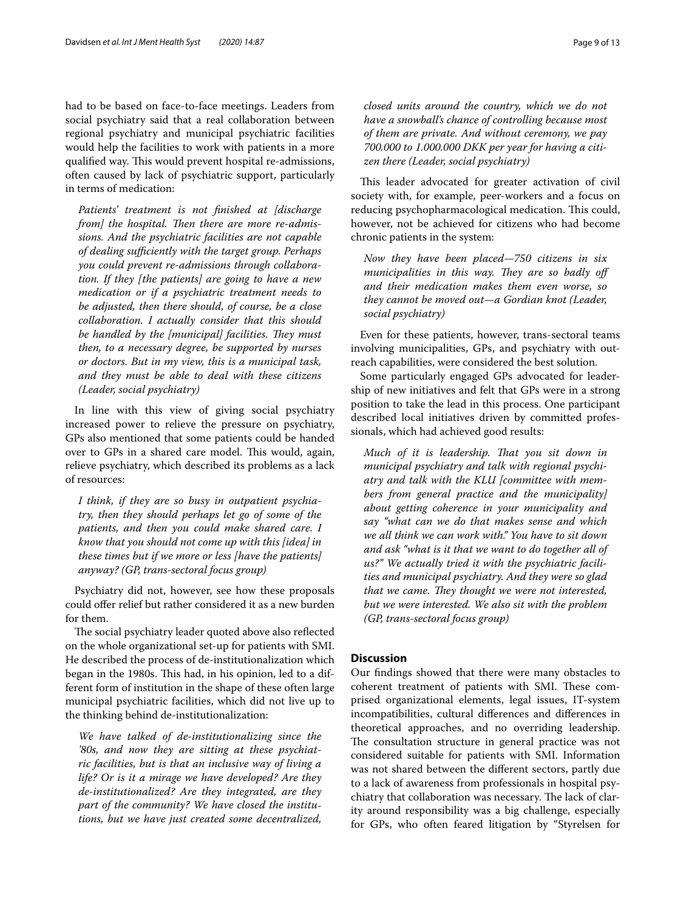had to be based on face-to-face meetings. Leaders from social psychiatry said that a real collaboration between regional psychiatry and municipal psychiatric facilities would help the facilities to work with patients in a more qualified way. This would prevent hospital re-admissions, often caused by lack of psychiatric support, particularly in terms of medication:

*Patients' treatment is not fnished at [discharge*  from] the hospital. Then there are more re-admis*sions. And the psychiatric facilities are not capable of dealing sufciently with the target group. Perhaps you could prevent re-admissions through collaboration. If they [the patients] are going to have a new medication or if a psychiatric treatment needs to be adjusted, then there should, of course, be a close collaboration. I actually consider that this should be handled by the [municipal] facilities. They must then, to a necessary degree, be supported by nurses or doctors. But in my view, this is a municipal task, and they must be able to deal with these citizens (Leader, social psychiatry)*

In line with this view of giving social psychiatry increased power to relieve the pressure on psychiatry, GPs also mentioned that some patients could be handed over to GPs in a shared care model. This would, again, relieve psychiatry, which described its problems as a lack of resources:

*I think, if they are so busy in outpatient psychiatry, then they should perhaps let go of some of the patients, and then you could make shared care. I know that you should not come up with this [idea] in these times but if we more or less [have the patients] anyway? (GP, trans-sectoral focus group)*

Psychiatry did not, however, see how these proposals could offer relief but rather considered it as a new burden for them.

The social psychiatry leader quoted above also reflected on the whole organizational set-up for patients with SMI. He described the process of de-institutionalization which began in the 1980s. This had, in his opinion, led to a different form of institution in the shape of these often large municipal psychiatric facilities, which did not live up to the thinking behind de-institutionalization:

*We have talked of de-institutionalizing since the '80s, and now they are sitting at these psychiatric facilities, but is that an inclusive way of living a life? Or is it a mirage we have developed? Are they de-institutionalized? Are they integrated, are they part of the community? We have closed the institutions, but we have just created some decentralized,* 

*closed units around the country, which we do not have a snowball's chance of controlling because most of them are private. And without ceremony, we pay 700.000 to 1.000.000 DKK per year for having a citizen there (Leader, social psychiatry)*

This leader advocated for greater activation of civil society with, for example, peer-workers and a focus on reducing psychopharmacological medication. This could, however, not be achieved for citizens who had become chronic patients in the system:

*Now they have been placed—750 citizens in six municipalities in this way. They are so badly off and their medication makes them even worse, so they cannot be moved out—a Gordian knot (Leader, social psychiatry)*

Even for these patients, however, trans-sectoral teams involving municipalities, GPs, and psychiatry with outreach capabilities, were considered the best solution.

Some particularly engaged GPs advocated for leadership of new initiatives and felt that GPs were in a strong position to take the lead in this process. One participant described local initiatives driven by committed professionals, which had achieved good results:

*Much of it is leadership. Tat you sit down in municipal psychiatry and talk with regional psychiatry and talk with the KLU [committee with members from general practice and the municipality] about getting coherence in your municipality and say "what can we do that makes sense and which we all think we can work with." You have to sit down and ask "what is it that we want to do together all of us?" We actually tried it with the psychiatric facilities and municipal psychiatry. And they were so glad*  that we came. They thought we were not interested, *but we were interested. We also sit with the problem (GP, trans-sectoral focus group)*

#### **Discussion**

Our fndings showed that there were many obstacles to coherent treatment of patients with SMI. These comprised organizational elements, legal issues, IT-system incompatibilities, cultural diferences and diferences in theoretical approaches, and no overriding leadership. The consultation structure in general practice was not considered suitable for patients with SMI. Information was not shared between the diferent sectors, partly due to a lack of awareness from professionals in hospital psychiatry that collaboration was necessary. The lack of clarity around responsibility was a big challenge, especially for GPs, who often feared litigation by "Styrelsen for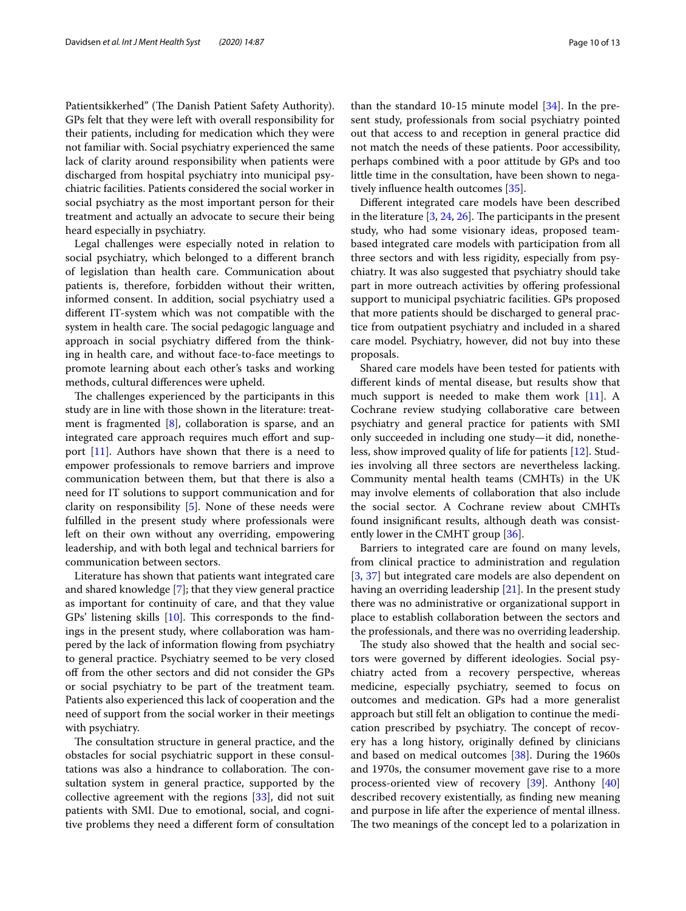Patientsikkerhed" (The Danish Patient Safety Authority). GPs felt that they were left with overall responsibility for their patients, including for medication which they were not familiar with. Social psychiatry experienced the same lack of clarity around responsibility when patients were discharged from hospital psychiatry into municipal psychiatric facilities. Patients considered the social worker in social psychiatry as the most important person for their treatment and actually an advocate to secure their being heard especially in psychiatry.

Legal challenges were especially noted in relation to social psychiatry, which belonged to a diferent branch of legislation than health care. Communication about patients is, therefore, forbidden without their written, informed consent. In addition, social psychiatry used a diferent IT-system which was not compatible with the system in health care. The social pedagogic language and approach in social psychiatry difered from the thinking in health care, and without face-to-face meetings to promote learning about each other's tasks and working methods, cultural diferences were upheld.

The challenges experienced by the participants in this study are in line with those shown in the literature: treatment is fragmented [[8\]](#page-11-22), collaboration is sparse, and an integrated care approach requires much effort and support [[11\]](#page-11-19). Authors have shown that there is a need to empower professionals to remove barriers and improve communication between them, but that there is also a need for IT solutions to support communication and for clarity on responsibility [[5\]](#page-11-4). None of these needs were fulflled in the present study where professionals were left on their own without any overriding, empowering leadership, and with both legal and technical barriers for communication between sectors.

Literature has shown that patients want integrated care and shared knowledge [\[7](#page-11-17)]; that they view general practice as important for continuity of care, and that they value GPs' listening skills  $[10]$  $[10]$ . This corresponds to the findings in the present study, where collaboration was hampered by the lack of information fowing from psychiatry to general practice. Psychiatry seemed to be very closed of from the other sectors and did not consider the GPs or social psychiatry to be part of the treatment team. Patients also experienced this lack of cooperation and the need of support from the social worker in their meetings with psychiatry.

The consultation structure in general practice, and the obstacles for social psychiatric support in these consultations was also a hindrance to collaboration. The consultation system in general practice, supported by the collective agreement with the regions [[33\]](#page-12-4), did not suit patients with SMI. Due to emotional, social, and cognitive problems they need a diferent form of consultation than the standard 10-15 minute model [\[34](#page-12-5)]. In the present study, professionals from social psychiatry pointed out that access to and reception in general practice did not match the needs of these patients. Poor accessibility, perhaps combined with a poor attitude by GPs and too little time in the consultation, have been shown to negatively infuence health outcomes [[35\]](#page-12-6).

Diferent integrated care models have been described in the literature  $[3, 24, 26]$  $[3, 24, 26]$  $[3, 24, 26]$  $[3, 24, 26]$  $[3, 24, 26]$  $[3, 24, 26]$ . The participants in the present study, who had some visionary ideas, proposed teambased integrated care models with participation from all three sectors and with less rigidity, especially from psychiatry. It was also suggested that psychiatry should take part in more outreach activities by offering professional support to municipal psychiatric facilities. GPs proposed that more patients should be discharged to general practice from outpatient psychiatry and included in a shared care model. Psychiatry, however, did not buy into these proposals.

Shared care models have been tested for patients with diferent kinds of mental disease, but results show that much support is needed to make them work  $[11]$  $[11]$ . A Cochrane review studying collaborative care between psychiatry and general practice for patients with SMI only succeeded in including one study—it did, nonetheless, show improved quality of life for patients [\[12](#page-11-23)]. Studies involving all three sectors are nevertheless lacking. Community mental health teams (CMHTs) in the UK may involve elements of collaboration that also include the social sector. A Cochrane review about CMHTs found insignifcant results, although death was consistently lower in the CMHT group [\[36\]](#page-12-7).

Barriers to integrated care are found on many levels, from clinical practice to administration and regulation [[3,](#page-11-2) [37\]](#page-12-8) but integrated care models are also dependent on having an overriding leadership [\[21](#page-11-14)]. In the present study there was no administrative or organizational support in place to establish collaboration between the sectors and the professionals, and there was no overriding leadership.

The study also showed that the health and social sectors were governed by diferent ideologies. Social psychiatry acted from a recovery perspective, whereas medicine, especially psychiatry, seemed to focus on outcomes and medication. GPs had a more generalist approach but still felt an obligation to continue the medication prescribed by psychiatry. The concept of recovery has a long history, originally defned by clinicians and based on medical outcomes [[38\]](#page-12-9). During the 1960s and 1970s, the consumer movement gave rise to a more process-oriented view of recovery [[39](#page-12-10)]. Anthony [[40](#page-12-11)] described recovery existentially, as fnding new meaning and purpose in life after the experience of mental illness. The two meanings of the concept led to a polarization in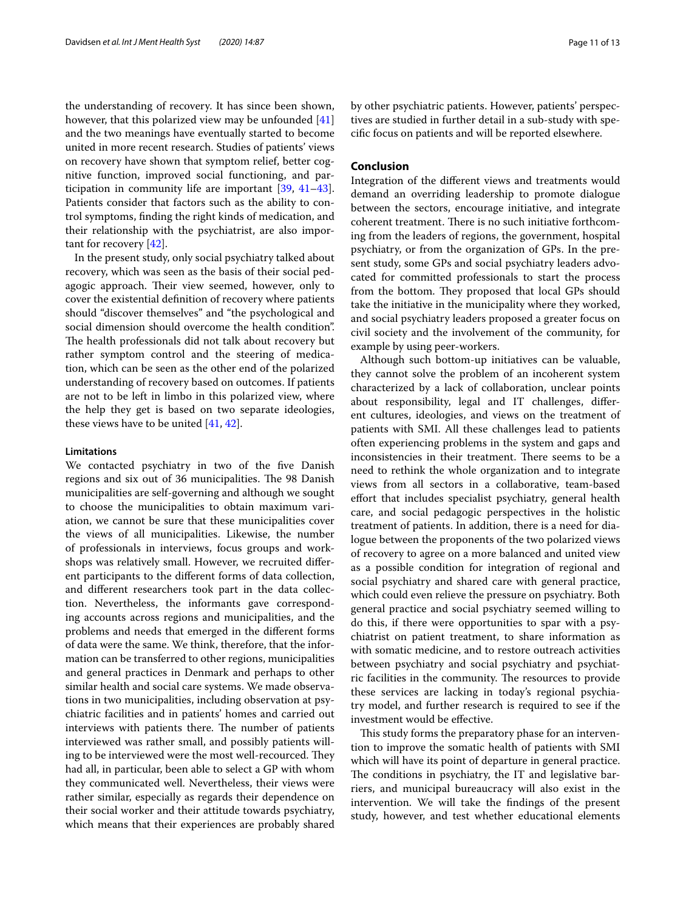the understanding of recovery. It has since been shown, however, that this polarized view may be unfounded [[41](#page-12-12)] and the two meanings have eventually started to become united in more recent research. Studies of patients' views on recovery have shown that symptom relief, better cognitive function, improved social functioning, and participation in community life are important [[39](#page-12-10), [41](#page-12-12)[–43](#page-12-13)]. Patients consider that factors such as the ability to control symptoms, fnding the right kinds of medication, and their relationship with the psychiatrist, are also important for recovery [\[42](#page-12-14)].

In the present study, only social psychiatry talked about recovery, which was seen as the basis of their social pedagogic approach. Their view seemed, however, only to cover the existential defnition of recovery where patients should "discover themselves" and "the psychological and social dimension should overcome the health condition". The health professionals did not talk about recovery but rather symptom control and the steering of medication, which can be seen as the other end of the polarized understanding of recovery based on outcomes. If patients are not to be left in limbo in this polarized view, where the help they get is based on two separate ideologies, these views have to be united [\[41,](#page-12-12) [42](#page-12-14)].

#### **Limitations**

We contacted psychiatry in two of the five Danish regions and six out of 36 municipalities. The 98 Danish municipalities are self-governing and although we sought to choose the municipalities to obtain maximum variation, we cannot be sure that these municipalities cover the views of all municipalities. Likewise, the number of professionals in interviews, focus groups and workshops was relatively small. However, we recruited diferent participants to the diferent forms of data collection, and diferent researchers took part in the data collection. Nevertheless, the informants gave corresponding accounts across regions and municipalities, and the problems and needs that emerged in the diferent forms of data were the same. We think, therefore, that the information can be transferred to other regions, municipalities and general practices in Denmark and perhaps to other similar health and social care systems. We made observations in two municipalities, including observation at psychiatric facilities and in patients' homes and carried out interviews with patients there. The number of patients interviewed was rather small, and possibly patients willing to be interviewed were the most well-recourced. They had all, in particular, been able to select a GP with whom they communicated well. Nevertheless, their views were rather similar, especially as regards their dependence on their social worker and their attitude towards psychiatry, which means that their experiences are probably shared by other psychiatric patients. However, patients' perspectives are studied in further detail in a sub-study with specifc focus on patients and will be reported elsewhere.

#### **Conclusion**

Integration of the diferent views and treatments would demand an overriding leadership to promote dialogue between the sectors, encourage initiative, and integrate coherent treatment. There is no such initiative forthcoming from the leaders of regions, the government, hospital psychiatry, or from the organization of GPs. In the present study, some GPs and social psychiatry leaders advocated for committed professionals to start the process from the bottom. They proposed that local GPs should take the initiative in the municipality where they worked, and social psychiatry leaders proposed a greater focus on civil society and the involvement of the community, for example by using peer-workers.

Although such bottom-up initiatives can be valuable, they cannot solve the problem of an incoherent system characterized by a lack of collaboration, unclear points about responsibility, legal and IT challenges, diferent cultures, ideologies, and views on the treatment of patients with SMI. All these challenges lead to patients often experiencing problems in the system and gaps and inconsistencies in their treatment. There seems to be a need to rethink the whole organization and to integrate views from all sectors in a collaborative, team-based efort that includes specialist psychiatry, general health care, and social pedagogic perspectives in the holistic treatment of patients. In addition, there is a need for dialogue between the proponents of the two polarized views of recovery to agree on a more balanced and united view as a possible condition for integration of regional and social psychiatry and shared care with general practice, which could even relieve the pressure on psychiatry. Both general practice and social psychiatry seemed willing to do this, if there were opportunities to spar with a psychiatrist on patient treatment, to share information as with somatic medicine, and to restore outreach activities between psychiatry and social psychiatry and psychiatric facilities in the community. The resources to provide these services are lacking in today's regional psychiatry model, and further research is required to see if the investment would be efective.

This study forms the preparatory phase for an intervention to improve the somatic health of patients with SMI which will have its point of departure in general practice. The conditions in psychiatry, the IT and legislative barriers, and municipal bureaucracy will also exist in the intervention. We will take the fndings of the present study, however, and test whether educational elements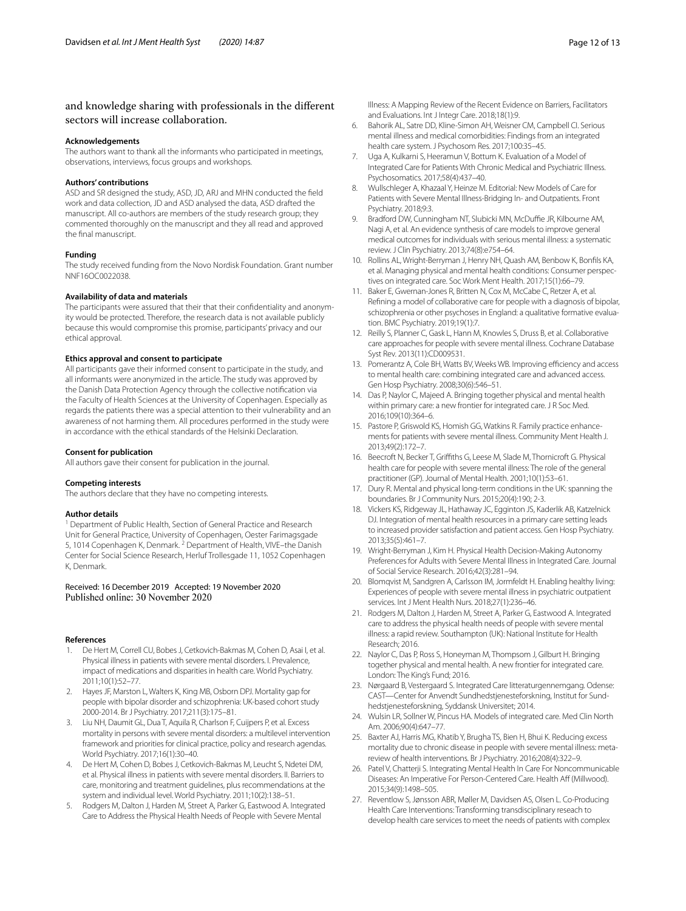#### and knowledge sharing with professionals in the diferent sectors will increase collaboration.

#### **Acknowledgements**

The authors want to thank all the informants who participated in meetings, observations, interviews, focus groups and workshops.

#### **Authors' contributions**

ASD and SR designed the study, ASD, JD, ARJ and MHN conducted the feld work and data collection, JD and ASD analysed the data, ASD drafted the manuscript. All co-authors are members of the study research group; they commented thoroughly on the manuscript and they all read and approved the fnal manuscript.

#### **Funding**

The study received funding from the Novo Nordisk Foundation. Grant number NNF16OC0022038.

#### **Availability of data and materials**

The participants were assured that their that their confdentiality and anonymity would be protected. Therefore, the research data is not available publicly because this would compromise this promise, participants' privacy and our ethical approval.

#### **Ethics approval and consent to participate**

All participants gave their informed consent to participate in the study, and all informants were anonymized in the article. The study was approved by the Danish Data Protection Agency through the collective notifcation via the Faculty of Health Sciences at the University of Copenhagen. Especially as regards the patients there was a special attention to their vulnerability and an awareness of not harming them. All procedures performed in the study were in accordance with the ethical standards of the Helsinki Declaration.

#### **Consent for publication**

All authors gave their consent for publication in the journal.

#### **Competing interests**

The authors declare that they have no competing interests.

#### **Author details**

<sup>1</sup> Department of Public Health, Section of General Practice and Research Unit for General Practice, University of Copenhagen, Oester Farimagsgade 5, 1014 Copenhagen K, Denmark. <sup>2</sup> Department of Health, VIVE–the Danish Center for Social Science Research, Herluf Trollesgade 11, 1052 Copenhagen K, Denmark.

# Received: 16 December 2019 Accepted: 19 November 2020

#### **References**

- <span id="page-11-0"></span>De Hert M, Correll CU, Bobes J, Cetkovich-Bakmas M, Cohen D, Asai I, et al. Physical illness in patients with severe mental disorders. I. Prevalence, impact of medications and disparities in health care. World Psychiatry. 2011;10(1):52–77.
- <span id="page-11-1"></span>2. Hayes JF, Marston L, Walters K, King MB, Osborn DPJ. Mortality gap for people with bipolar disorder and schizophrenia: UK-based cohort study 2000-2014. Br J Psychiatry. 2017;211(3):175–81.
- <span id="page-11-2"></span>3. Liu NH, Daumit GL, Dua T, Aquila R, Charlson F, Cuijpers P, et al. Excess mortality in persons with severe mental disorders: a multilevel intervention framework and priorities for clinical practice, policy and research agendas. World Psychiatry. 2017;16(1):30–40.
- <span id="page-11-3"></span>4. De Hert M, Cohen D, Bobes J, Cetkovich-Bakmas M, Leucht S, Ndetei DM, et al. Physical illness in patients with severe mental disorders. II. Barriers to care, monitoring and treatment guidelines, plus recommendations at the system and individual level. World Psychiatry. 2011;10(2):138–51.
- <span id="page-11-4"></span>5. Rodgers M, Dalton J, Harden M, Street A, Parker G, Eastwood A. Integrated Care to Address the Physical Health Needs of People with Severe Mental

Illness: A Mapping Review of the Recent Evidence on Barriers, Facilitators and Evaluations. Int J Integr Care. 2018;18(1):9.

- <span id="page-11-5"></span>6. Bahorik AL, Satre DD, Kline-Simon AH, Weisner CM, Campbell CI. Serious mental illness and medical comorbidities: Findings from an integrated health care system. J Psychosom Res. 2017;100:35–45.
- <span id="page-11-17"></span>7. Uga A, Kulkarni S, Heeramun V, Bottum K. Evaluation of a Model of Integrated Care for Patients With Chronic Medical and Psychiatric Illness. Psychosomatics. 2017;58(4):437–40.
- <span id="page-11-22"></span>Wullschleger A, Khazaal Y, Heinze M. Editorial: New Models of Care for Patients with Severe Mental Illness-Bridging In- and Outpatients. Front Psychiatry. 2018;9:3.
- <span id="page-11-6"></span>9. Bradford DW, Cunningham NT, Slubicki MN, McDuffie JR, Kilbourne AM, Nagi A, et al. An evidence synthesis of care models to improve general medical outcomes for individuals with serious mental illness: a systematic review. J Clin Psychiatry. 2013;74(8):e754–64.
- <span id="page-11-7"></span>10. Rollins AL, Wright-Berryman J, Henry NH, Quash AM, Benbow K, Bonfls KA, et al. Managing physical and mental health conditions: Consumer perspectives on integrated care. Soc Work Ment Health. 2017;15(1):66–79.
- <span id="page-11-19"></span>11. Baker E, Gwernan-Jones R, Britten N, Cox M, McCabe C, Retzer A, et al. Refning a model of collaborative care for people with a diagnosis of bipolar, schizophrenia or other psychoses in England: a qualitative formative evaluation. BMC Psychiatry. 2019;19(1):7.
- <span id="page-11-23"></span>12. Reilly S, Planner C, Gask L, Hann M, Knowles S, Druss B, et al. Collaborative care approaches for people with severe mental illness. Cochrane Database Syst Rev. 2013(11):CD009531.
- <span id="page-11-8"></span>13. Pomerantz A, Cole BH, Watts BV, Weeks WB. Improving efficiency and access to mental health care: combining integrated care and advanced access. Gen Hosp Psychiatry. 2008;30(6):546–51.
- <span id="page-11-9"></span>14. Das P, Naylor C, Majeed A. Bringing together physical and mental health within primary care: a new frontier for integrated care. J R Soc Med. 2016;109(10):364–6.
- <span id="page-11-10"></span>15. Pastore P, Griswold KS, Homish GG, Watkins R. Family practice enhancements for patients with severe mental illness. Community Ment Health J. 2013;49(2):172–7.
- <span id="page-11-11"></span>16. Beecroft N, Becker T, Griffiths G, Leese M, Slade M, Thornicroft G. Physical health care for people with severe mental illness: The role of the general practitioner (GP). Journal of Mental Health. 2001;10(1):53–61.
- <span id="page-11-12"></span>17. Dury R. Mental and physical long-term conditions in the UK: spanning the boundaries. Br J Community Nurs. 2015;20(4):190; 2-3.
- 18. Vickers KS, Ridgeway JL, Hathaway JC, Egginton JS, Kaderlik AB, Katzelnick DJ. Integration of mental health resources in a primary care setting leads to increased provider satisfaction and patient access. Gen Hosp Psychiatry. 2013;35(5):461–7.
- 19. Wright-Berryman J, Kim H. Physical Health Decision-Making Autonomy Preferences for Adults with Severe Mental Illness in Integrated Care. Journal of Social Service Research. 2016;42(3):281–94.
- <span id="page-11-13"></span>20. Blomqvist M, Sandgren A, Carlsson IM, Jormfeldt H. Enabling healthy living: Experiences of people with severe mental illness in psychiatric outpatient services. Int J Ment Health Nurs. 2018;27(1):236–46.
- <span id="page-11-14"></span>21. Rodgers M, Dalton J, Harden M, Street A, Parker G, Eastwood A. Integrated care to address the physical health needs of people with severe mental illness: a rapid review. Southampton (UK): National Institute for Health Research; 2016.
- <span id="page-11-15"></span>22. Naylor C, Das P, Ross S, Honeyman M, Thompsom J, Gilburt H. Bringing together physical and mental health. A new frontier for integrated care. London: The King's Fund; 2016.
- 23. Nørgaard B, Vestergaard S. Integrated Care litteraturgennemgang. Odense: CAST—Center for Anvendt Sundhedstjenesteforskning, Institut for Sundhedstjenesteforskning, Syddansk Universitet; 2014.
- <span id="page-11-16"></span>24. Wulsin LR, Sollner W, Pincus HA. Models of integrated care. Med Clin North Am. 2006;90(4):647–77.
- <span id="page-11-18"></span>25. Baxter AJ, Harris MG, Khatib Y, Brugha TS, Bien H, Bhui K. Reducing excess mortality due to chronic disease in people with severe mental illness: metareview of health interventions. Br J Psychiatry. 2016;208(4):322–9.
- <span id="page-11-20"></span>26. Patel V, Chatterji S. Integrating Mental Health In Care For Noncommunicable Diseases: An Imperative For Person-Centered Care. Health Aff (Millwood). 2015;34(9):1498–505.
- <span id="page-11-21"></span>27. Reventlow S, Jønsson ABR, Møller M, Davidsen AS, Olsen L. Co-Producing Health Care Interventions: Transforming transdisciplinary reseach to develop health care services to meet the needs of patients with complex